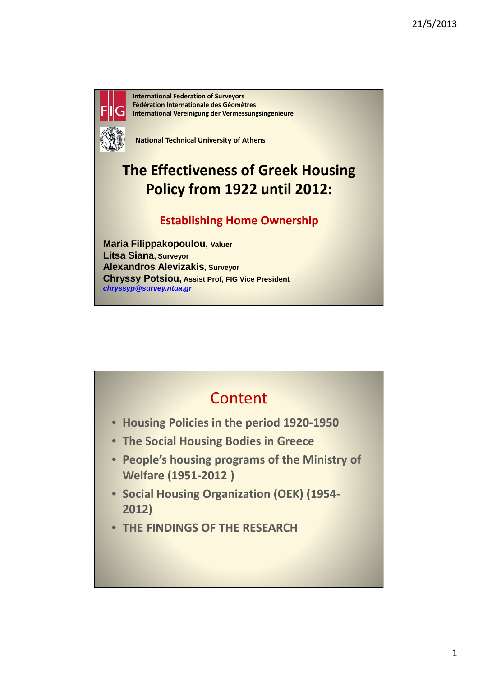

International Federation of Surveyors Fédération Internationale des Géomètres International Vereinigung der Vermessungsingenieure

National Technical University of Athens

# The Effectiveness of Greek Housing Policy from 1922 until 2012:

### Establishing Home Ownership

**Maria Filippakopoulou, Valuer Litsa Siana, Surveyor Alexandros Alevizakis, Surveyor Chryssy Potsiou, Assist Prof, FIG Vice President chryssyp@survey.ntua.gr**

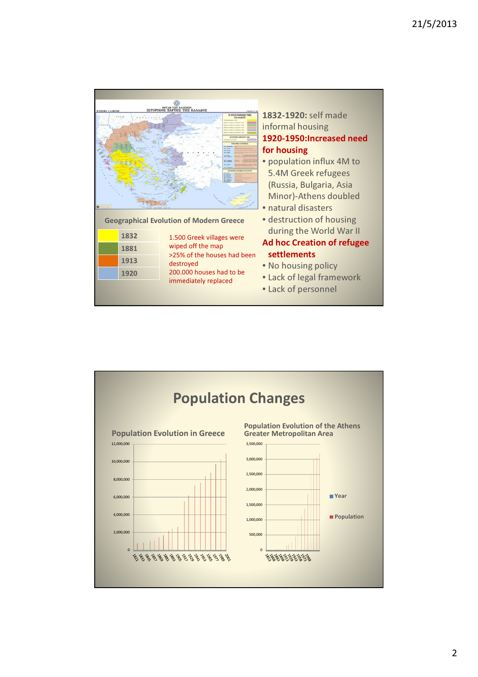

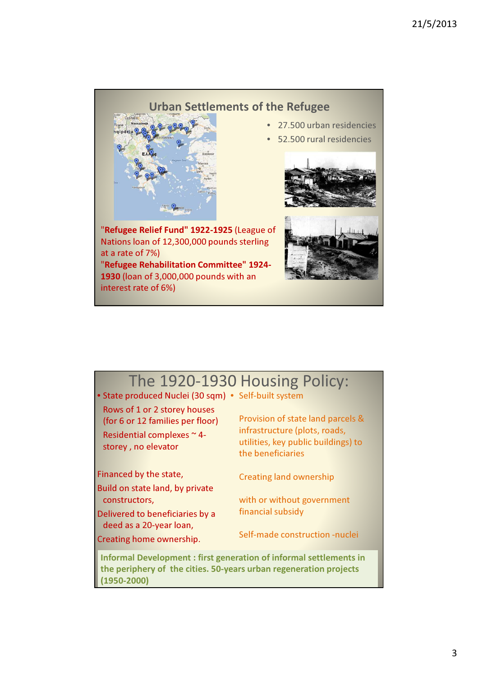### Urban Settlements of the Refugee



## • 27.500 urban residencies

• 52.500 rural residencies



"Refugee Relief Fund" 1922-1925 (League of Nations loan of 12,300,000 pounds sterling at a rate of 7%) "Refugee Rehabilitation Committee" 1924- 1930 (loan of 3,000,000 pounds with an



## The 1920-1930 Housing Policy:

• State produced Nuclei (30 sqm) • Self-built system

Rows of 1 or 2 storey houses (for 6 or 12 families per floor) Residential complexes ~ 4 storey , no elevator

Financed by the state,

interest rate of 6%)

Build on state land, by private constructors,

Delivered to beneficiaries by a deed as a 20-year loan,

Creating home ownership.

infrastructure (plots, roads, utilities, key public buildings) to the beneficiaries

Provision of state land parcels &

Creating land ownership

with or without government financial subsidy

Self-made construction -nuclei

Informal Development : first generation of informal settlements in the periphery of the cities. 50-years urban regeneration projects (1950-2000)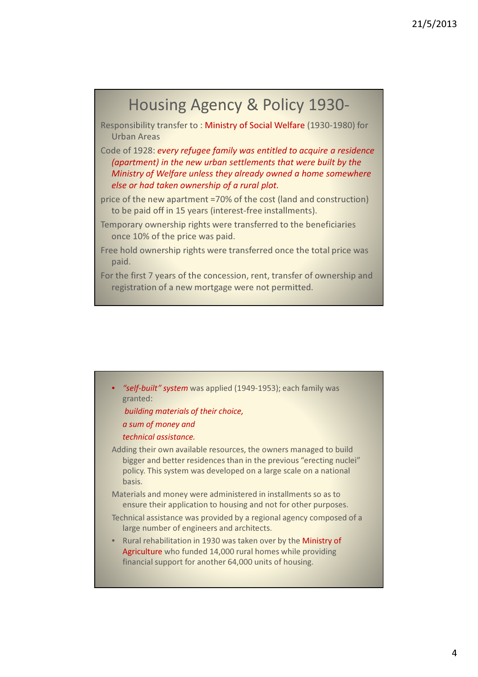## Housing Agency & Policy 1930-

Responsibility transfer to : Ministry of Social Welfare (1930-1980) for Urban Areas

Code of 1928: every refugee family was entitled to acquire a residence (apartment) in the new urban settlements that were built by the Ministry of Welfare unless they already owned a home somewhere else or had taken ownership of a rural plot.

price of the new apartment =70% of the cost (land and construction) to be paid off in 15 years (interest-free installments).

Temporary ownership rights were transferred to the beneficiaries once 10% of the price was paid.

Free hold ownership rights were transferred once the total price was paid.

For the first 7 years of the concession, rent, transfer of ownership and registration of a new mortgage were not permitted.

```
"self-built" system was applied (1949-1953); each family was
   granted:
   building materials of their choice, 
   a sum of money and 
   technical assistance. 
Adding their own available resources, the owners managed to build 
   bigger and better residences than in the previous "erecting nuclei" 
   policy. This system was developed on a large scale on a national 
   basis. 
Materials and money were administered in installments so as to 
   ensure their application to housing and not for other purposes. 
Technical assistance was provided by a regional agency composed of a 
   large number of engineers and architects.
  • Rural rehabilitation in 1930 was taken over by the Ministry of 
   Agriculture who funded 14,000 rural homes while providing 
   financial support for another 64,000 units of housing.
```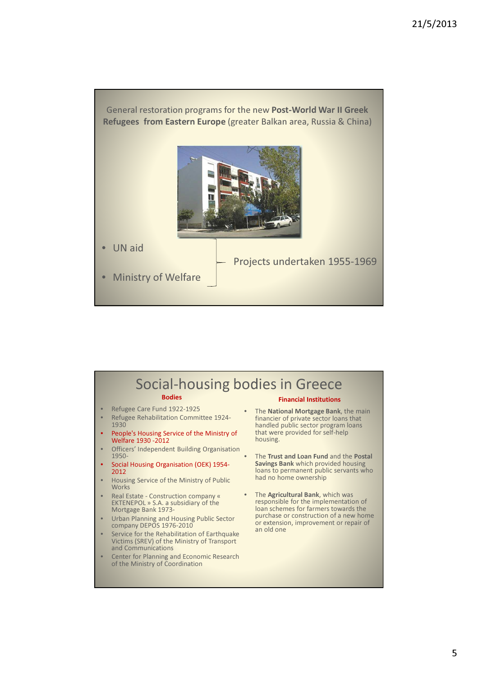

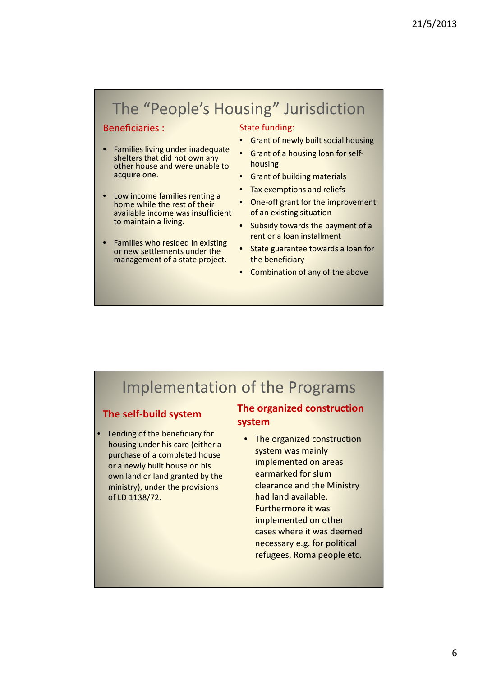# The "People's Housing" Jurisdiction

### Beneficiaries :

- Families living under inadequate shelters that did not own any other house and were unable to acquire one.
- Low income families renting a home while the rest of their available income was insufficient to maintain a living.
- Families who resided in existing or new settlements under the management of a state project.

#### State funding:

- Grant of newly built social housing
- Grant of a housing loan for selfhousing
- Grant of building materials
- Tax exemptions and reliefs
- One-off grant for the improvement of an existing situation
- Subsidy towards the payment of a rent or a loan installment
- State guarantee towards a loan for the beneficiary
- Combination of any of the above

## Implementation of the Programs

### The self-build system

• Lending of the beneficiary for housing under his care (either a purchase of a completed house or a newly built house on his own land or land granted by the ministry), under the provisions of LD 1138/72.

### The organized construction system

• The organized construction system was mainly implemented on areas earmarked for slum clearance and the Ministry had land available. Furthermore it was implemented on other cases where it was deemed necessary e.g. for political refugees, Roma people etc.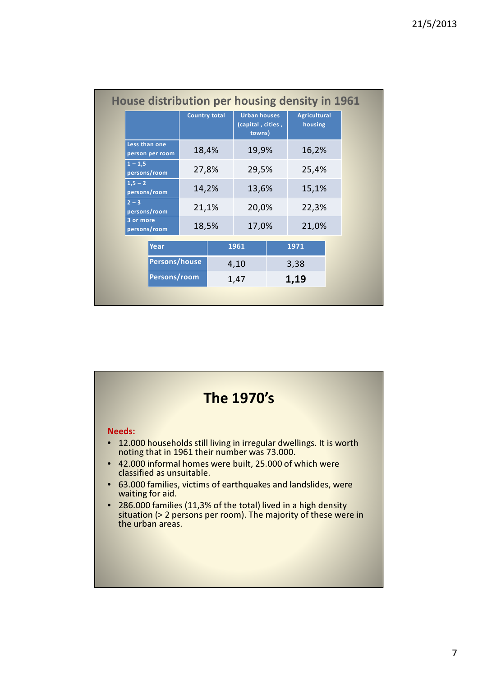|                                  | <b>Country total</b> |  | <b>Urban houses</b><br>(capital, cities,<br>towns) |  | <b>Agricultural</b><br>housing |  |
|----------------------------------|----------------------|--|----------------------------------------------------|--|--------------------------------|--|
| Less than one<br>person per room | 18,4%                |  | 19,9%                                              |  | 16,2%                          |  |
| $1 - 1.5$<br>persons/room        | 27,8%                |  | 29,5%                                              |  | 25,4%                          |  |
| $1,5 - 2$<br>persons/room        | 14,2%                |  | 13,6%                                              |  | 15,1%                          |  |
| $2 - 3$<br>persons/room          | 21,1%                |  | 20,0%                                              |  | 22,3%                          |  |
| 3 or more<br>persons/room        | 18,5%                |  | 17,0%                                              |  | 21,0%                          |  |
| Year                             |                      |  | 1961                                               |  | 1971                           |  |
| Persons/house                    |                      |  | 4,10                                               |  | 3,38                           |  |
|                                  | Persons/room         |  | 1,47                                               |  | 1,19                           |  |

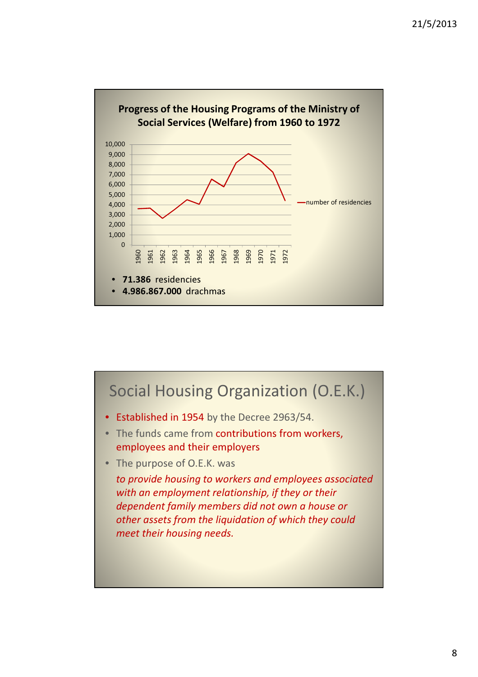

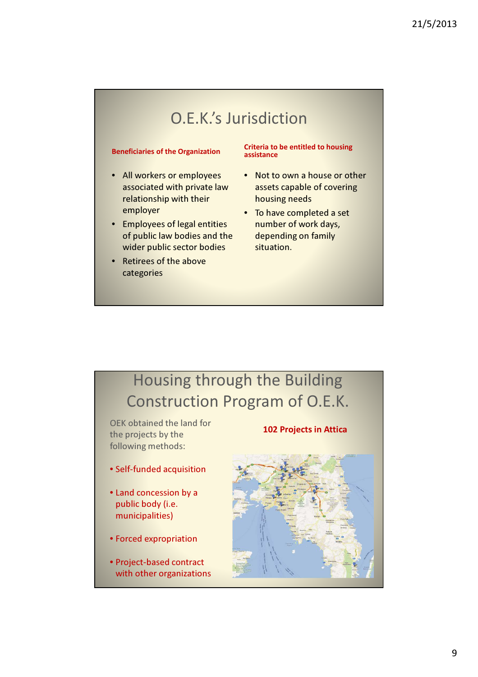# O.E.K.'s Jurisdiction

#### Beneficiaries of the Organization

- All workers or employees associated with private law relationship with their employer
- Employees of legal entities of public law bodies and the wider public sector bodies
- Retirees of the above categories

Criteria to be entitled to housing assistance

- Not to own a house or other assets capable of covering housing needs
- To have completed a set number of work days, depending on family situation.

# Housing through the Building Construction Program of O.E.K.

OEK obtained the land for the projects by the following methods:

- Self-funded acquisition
- Land concession by a public body (i.e. municipalities)
- Forced expropriation
- Project-based contract with other organizations

#### 102 Projects in Attica

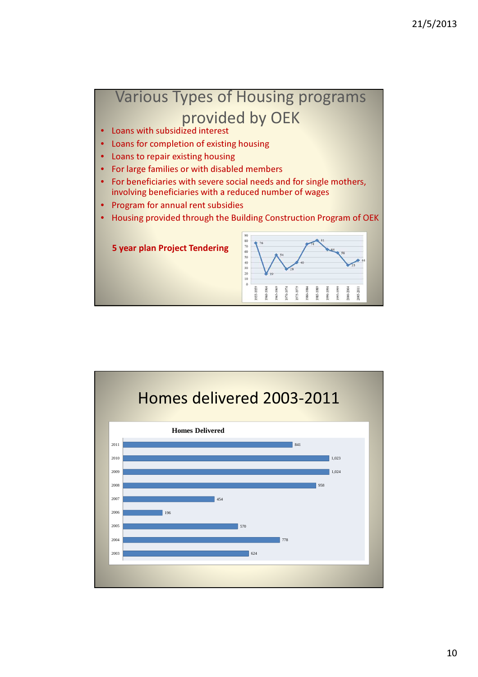

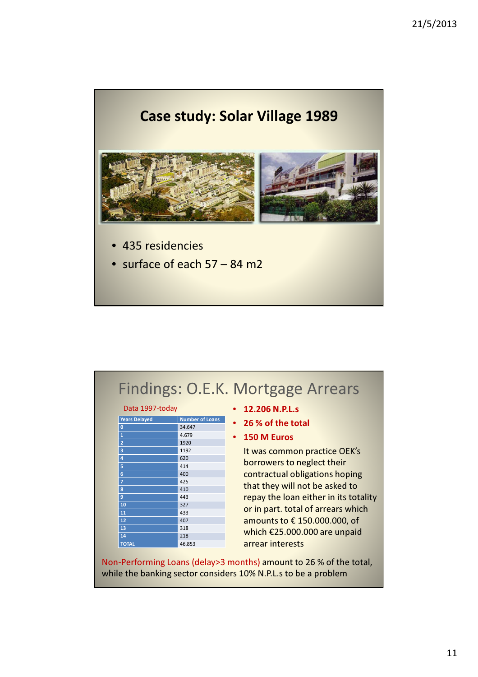

|                 | Findings: O.E.K. Mortgage Arrears |
|-----------------|-----------------------------------|
| Data 1997-today | $\cdot$ 12.206 N.P.L.s            |

| <b>Years Delayed</b>    | <b>Number of Loans</b> |  |  |  |
|-------------------------|------------------------|--|--|--|
| $\bf{0}$                | 34.647                 |  |  |  |
| $\overline{\mathbf{1}}$ | 4.679                  |  |  |  |
| $\overline{2}$          | 1920                   |  |  |  |
| 3                       | 1192                   |  |  |  |
| 4                       | 620                    |  |  |  |
| 5                       | 414                    |  |  |  |
| 6                       | 400                    |  |  |  |
| $\overline{1}$          | 425                    |  |  |  |
| 8                       | 410                    |  |  |  |
| 9                       | 443                    |  |  |  |
| 10                      | 327                    |  |  |  |
| 11                      | 433                    |  |  |  |
| 12                      | 407                    |  |  |  |
| 13                      | 318                    |  |  |  |
| 14                      | 218                    |  |  |  |
| <b>TOTAL</b>            | 46.853                 |  |  |  |

- 12.206 N.P.L.s
- 26 % of the total
- 150 M Euros

It was common practice OEK's borrowers to neglect their contractual obligations hoping that they will not be asked to repay the loan either in its totality or in part. total of arrears which amounts to € 150.000.000, of which €25.000.000 are unpaid arrear interests

Non-Performing Loans (delay>3 months) amount to 26 % of the total, while the banking sector considers 10% N.P.L.s to be a problem